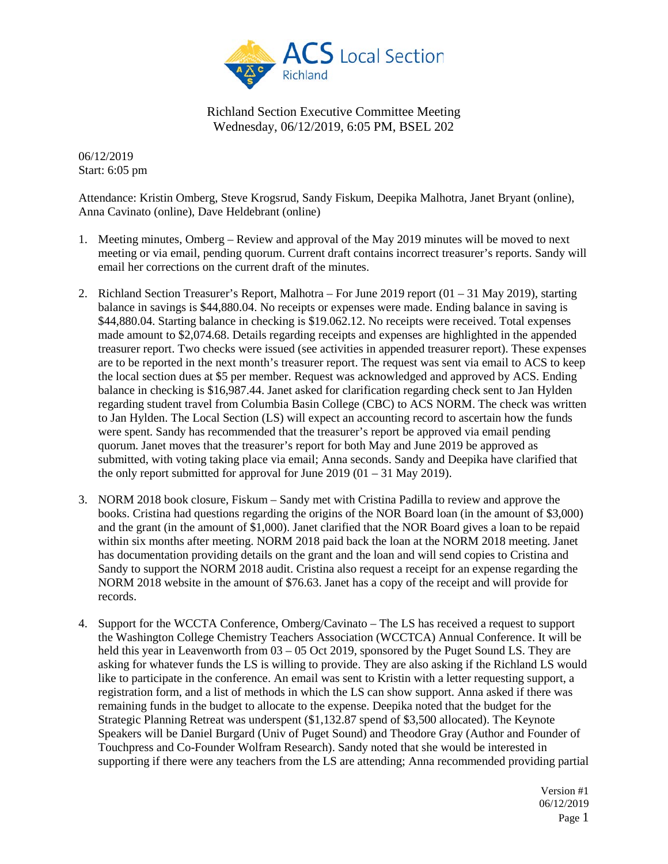

06/12/2019 Start: 6:05 pm

Attendance: Kristin Omberg, Steve Krogsrud, Sandy Fiskum, Deepika Malhotra, Janet Bryant (online), Anna Cavinato (online), Dave Heldebrant (online)

- 1. Meeting minutes, Omberg Review and approval of the May 2019 minutes will be moved to next meeting or via email, pending quorum. Current draft contains incorrect treasurer's reports. Sandy will email her corrections on the current draft of the minutes.
- 2. Richland Section Treasurer's Report, Malhotra For June 2019 report (01 31 May 2019), starting balance in savings is \$44,880.04. No receipts or expenses were made. Ending balance in saving is \$44,880.04. Starting balance in checking is \$19.062.12. No receipts were received. Total expenses made amount to \$2,074.68. Details regarding receipts and expenses are highlighted in the appended treasurer report. Two checks were issued (see activities in appended treasurer report). These expenses are to be reported in the next month's treasurer report. The request was sent via email to ACS to keep the local section dues at \$5 per member. Request was acknowledged and approved by ACS. Ending balance in checking is \$16,987.44. Janet asked for clarification regarding check sent to Jan Hylden regarding student travel from Columbia Basin College (CBC) to ACS NORM. The check was written to Jan Hylden. The Local Section (LS) will expect an accounting record to ascertain how the funds were spent. Sandy has recommended that the treasurer's report be approved via email pending quorum. Janet moves that the treasurer's report for both May and June 2019 be approved as submitted, with voting taking place via email; Anna seconds. Sandy and Deepika have clarified that the only report submitted for approval for June  $2019 (01 - 31$  May 2019).
- 3. NORM 2018 book closure, Fiskum Sandy met with Cristina Padilla to review and approve the books. Cristina had questions regarding the origins of the NOR Board loan (in the amount of \$3,000) and the grant (in the amount of \$1,000). Janet clarified that the NOR Board gives a loan to be repaid within six months after meeting. NORM 2018 paid back the loan at the NORM 2018 meeting. Janet has documentation providing details on the grant and the loan and will send copies to Cristina and Sandy to support the NORM 2018 audit. Cristina also request a receipt for an expense regarding the NORM 2018 website in the amount of \$76.63. Janet has a copy of the receipt and will provide for records.
- 4. Support for the WCCTA Conference, Omberg/Cavinato The LS has received a request to support the Washington College Chemistry Teachers Association (WCCTCA) Annual Conference. It will be held this year in Leavenworth from 03 – 05 Oct 2019, sponsored by the Puget Sound LS. They are asking for whatever funds the LS is willing to provide. They are also asking if the Richland LS would like to participate in the conference. An email was sent to Kristin with a letter requesting support, a registration form, and a list of methods in which the LS can show support. Anna asked if there was remaining funds in the budget to allocate to the expense. Deepika noted that the budget for the Strategic Planning Retreat was underspent (\$1,132.87 spend of \$3,500 allocated). The Keynote Speakers will be Daniel Burgard (Univ of Puget Sound) and Theodore Gray (Author and Founder of Touchpress and Co-Founder Wolfram Research). Sandy noted that she would be interested in supporting if there were any teachers from the LS are attending; Anna recommended providing partial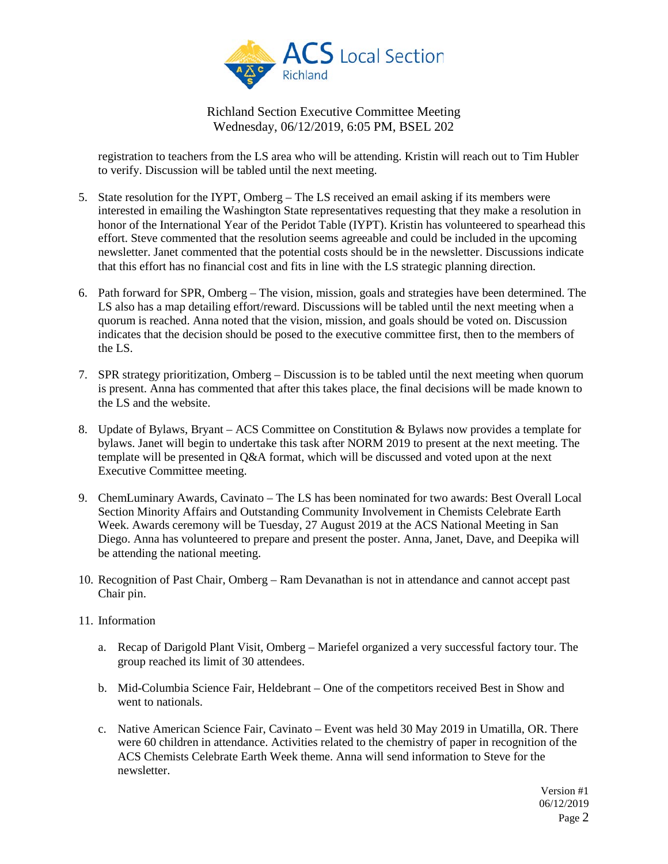

registration to teachers from the LS area who will be attending. Kristin will reach out to Tim Hubler to verify. Discussion will be tabled until the next meeting.

- 5. State resolution for the IYPT, Omberg The LS received an email asking if its members were interested in emailing the Washington State representatives requesting that they make a resolution in honor of the International Year of the Peridot Table (IYPT). Kristin has volunteered to spearhead this effort. Steve commented that the resolution seems agreeable and could be included in the upcoming newsletter. Janet commented that the potential costs should be in the newsletter. Discussions indicate that this effort has no financial cost and fits in line with the LS strategic planning direction.
- 6. Path forward for SPR, Omberg The vision, mission, goals and strategies have been determined. The LS also has a map detailing effort/reward. Discussions will be tabled until the next meeting when a quorum is reached. Anna noted that the vision, mission, and goals should be voted on. Discussion indicates that the decision should be posed to the executive committee first, then to the members of the LS.
- 7. SPR strategy prioritization, Omberg Discussion is to be tabled until the next meeting when quorum is present. Anna has commented that after this takes place, the final decisions will be made known to the LS and the website.
- 8. Update of Bylaws, Bryant ACS Committee on Constitution & Bylaws now provides a template for bylaws. Janet will begin to undertake this task after NORM 2019 to present at the next meeting. The template will be presented in Q&A format, which will be discussed and voted upon at the next Executive Committee meeting.
- 9. ChemLuminary Awards, Cavinato The LS has been nominated for two awards: Best Overall Local Section Minority Affairs and Outstanding Community Involvement in Chemists Celebrate Earth Week. Awards ceremony will be Tuesday, 27 August 2019 at the ACS National Meeting in San Diego. Anna has volunteered to prepare and present the poster. Anna, Janet, Dave, and Deepika will be attending the national meeting.
- 10. Recognition of Past Chair, Omberg Ram Devanathan is not in attendance and cannot accept past Chair pin.
- 11. Information
	- a. Recap of Darigold Plant Visit, Omberg Mariefel organized a very successful factory tour. The group reached its limit of 30 attendees.
	- b. Mid-Columbia Science Fair, Heldebrant One of the competitors received Best in Show and went to nationals.
	- c. Native American Science Fair, Cavinato Event was held 30 May 2019 in Umatilla, OR. There were 60 children in attendance. Activities related to the chemistry of paper in recognition of the ACS Chemists Celebrate Earth Week theme. Anna will send information to Steve for the newsletter.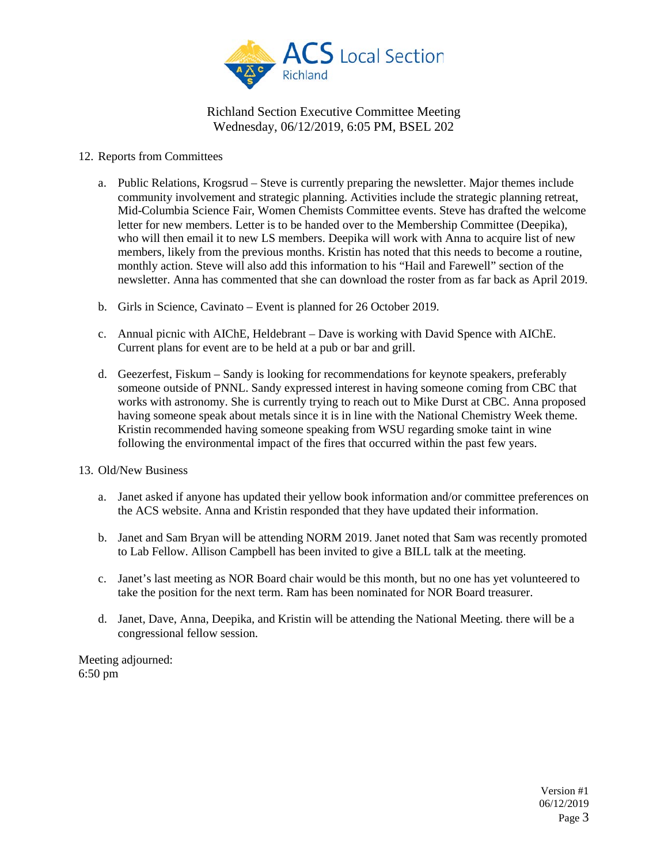

### 12. Reports from Committees

- a. Public Relations, Krogsrud Steve is currently preparing the newsletter. Major themes include community involvement and strategic planning. Activities include the strategic planning retreat, Mid-Columbia Science Fair, Women Chemists Committee events. Steve has drafted the welcome letter for new members. Letter is to be handed over to the Membership Committee (Deepika), who will then email it to new LS members. Deepika will work with Anna to acquire list of new members, likely from the previous months. Kristin has noted that this needs to become a routine, monthly action. Steve will also add this information to his "Hail and Farewell" section of the newsletter. Anna has commented that she can download the roster from as far back as April 2019.
- b. Girls in Science, Cavinato Event is planned for 26 October 2019.
- c. Annual picnic with AIChE, Heldebrant Dave is working with David Spence with AIChE. Current plans for event are to be held at a pub or bar and grill.
- d. Geezerfest, Fiskum Sandy is looking for recommendations for keynote speakers, preferably someone outside of PNNL. Sandy expressed interest in having someone coming from CBC that works with astronomy. She is currently trying to reach out to Mike Durst at CBC. Anna proposed having someone speak about metals since it is in line with the National Chemistry Week theme. Kristin recommended having someone speaking from WSU regarding smoke taint in wine following the environmental impact of the fires that occurred within the past few years.
- 13. Old/New Business
	- a. Janet asked if anyone has updated their yellow book information and/or committee preferences on the ACS website. Anna and Kristin responded that they have updated their information.
	- b. Janet and Sam Bryan will be attending NORM 2019. Janet noted that Sam was recently promoted to Lab Fellow. Allison Campbell has been invited to give a BILL talk at the meeting.
	- c. Janet's last meeting as NOR Board chair would be this month, but no one has yet volunteered to take the position for the next term. Ram has been nominated for NOR Board treasurer.
	- d. Janet, Dave, Anna, Deepika, and Kristin will be attending the National Meeting. there will be a congressional fellow session.

Meeting adjourned: 6:50 pm